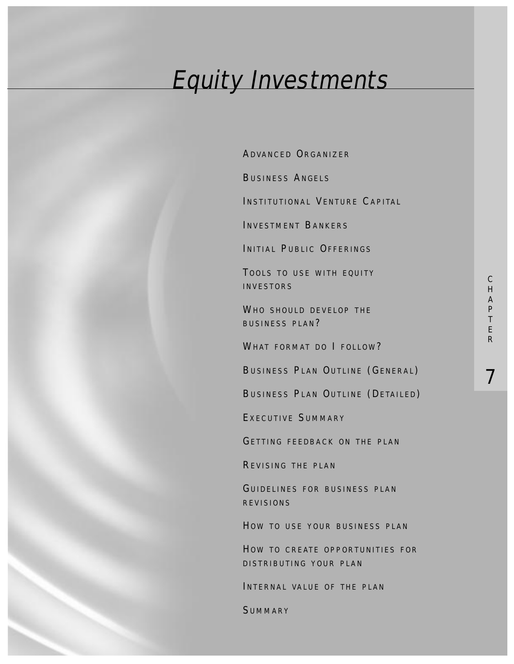# Equity Investments

ADVANCED ORGANIZER

BUSINESS ANGELS

INSTITUTIONAL VENTURE CAPITAL

INVESTMENT BANKERS

INITIAL PUBLIC OFFERINGS

TOOLS TO USE WITH EQUITY INVESTORS

WHO SHOULD DEVELOP THE BUSINESS PLAN?

WHAT FORMAT DO I FOLLOW?

BUSINESS PLAN OUTLINE (GENERAL)

BUSINESS PLAN OUTLINE (DETAILED)

E XECUTIVE SUMMARY

GETTING FEEDBACK ON THE PLAN

REVISING THE PLAN

GUIDELINES FOR BUSINESS PLAN REVISIONS

HOW TO USE YOUR BUSINESS PLAN

HOW TO CREATE OPPORTUNITIES FOR DISTRIBUTING YOUR PLAN

INTERNAL VALUE OF THE PLAN

SUMMARY

7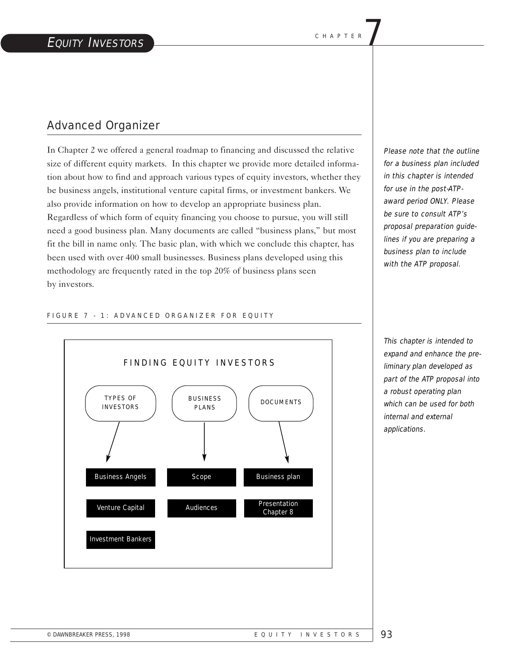# Advanced Organizer

In Chapter 2 we offered a general roadmap to financing and discussed the relative size of different equity markets. In this chapter we provide more detailed information about how to find and approach various types of equity investors, whether they be business angels, institutional venture capital firms, or investment bankers. We also provide information on how to develop an appropriate business plan. Regardless of which form of equity financing you choose to pursue, you will still need a good business plan. Many documents are called "business plans," but most fit the bill in name only. The basic plan, with which we conclude this chapter, has been used with over 400 small businesses. Business plans developed using this methodology are frequently rated in the top 20% of business plans seen by investors.

Please note that the outline for a business plan included in this chapter is intended for use in the post-ATPaward period ONLY. Please be sure to consult ATP's proposal preparation guidelines if you are preparing a business plan to include with the ATP proposal.

#### FIGURE 7 - 1: ADVANCED ORGANIZER FOR EQUITY



This chapter is intended to expand and enhance the preliminary plan developed as part of the ATP proposal into a robust operating plan which can be used for both internal and external applications.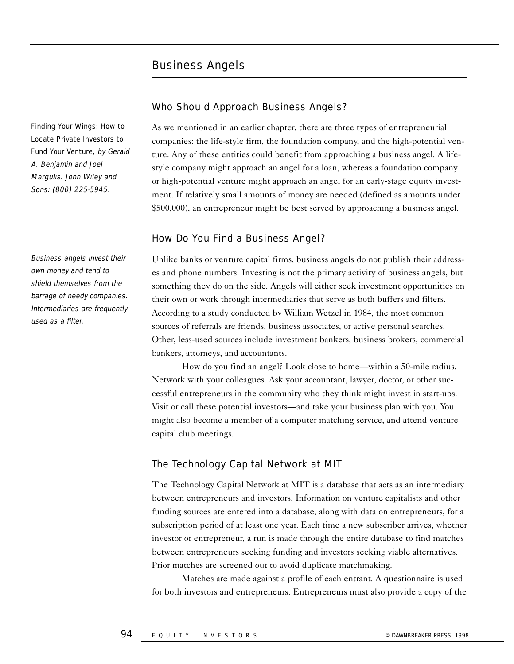# Business Angels

Finding Your Wings: How to Locate Private Investors to Fund Your Venture, by Gerald A. Benjamin and Joel Margulis. John Wiley and Sons: (800) 225-5945.

Business angels invest their own money and tend to shield themselves from the barrage of needy companies. Intermediaries are frequently used as a filter.

## Who Should Approach Business Angels?

As we mentioned in an earlier chapter, there are three types of entrepreneurial companies: the life-style firm, the foundation company, and the high-potential venture. Any of these entities could benefit from approaching a business angel. A lifestyle company might approach an angel for a loan, whereas a foundation company or high-potential venture might approach an angel for an early-stage equity investment. If relatively small amounts of money are needed (defined as amounts under \$500,000), an entrepreneur might be best served by approaching a business angel.

## How Do You Find a Business Angel?

Unlike banks or venture capital firms, business angels do not publish their addresses and phone numbers. Investing is not the primary activity of business angels, but something they do on the side. Angels will either seek investment opportunities on their own or work through intermediaries that serve as both buffers and filters. According to a study conducted by William Wetzel in 1984, the most common sources of referrals are friends, business associates, or active personal searches. Other, less-used sources include investment bankers, business brokers, commercial bankers, attorneys, and accountants.

How do you find an angel? Look close to home—within a 50-mile radius. Network with your colleagues. Ask your accountant, lawyer, doctor, or other successful entrepreneurs in the community who they think might invest in start-ups. Visit or call these potential investors—and take your business plan with you. You might also become a member of a computer matching service, and attend venture capital club meetings.

# The Technology Capital Network at MIT

The Technology Capital Network at MIT is a database that acts as an intermediary between entrepreneurs and investors. Information on venture capitalists and other funding sources are entered into a database, along with data on entrepreneurs, for a subscription period of at least one year. Each time a new subscriber arrives, whether investor or entrepreneur, a run is made through the entire database to find matches between entrepreneurs seeking funding and investors seeking viable alternatives. Prior matches are screened out to avoid duplicate matchmaking.

Matches are made against a profile of each entrant. A questionnaire is used for both investors and entrepreneurs. Entrepreneurs must also provide a copy of the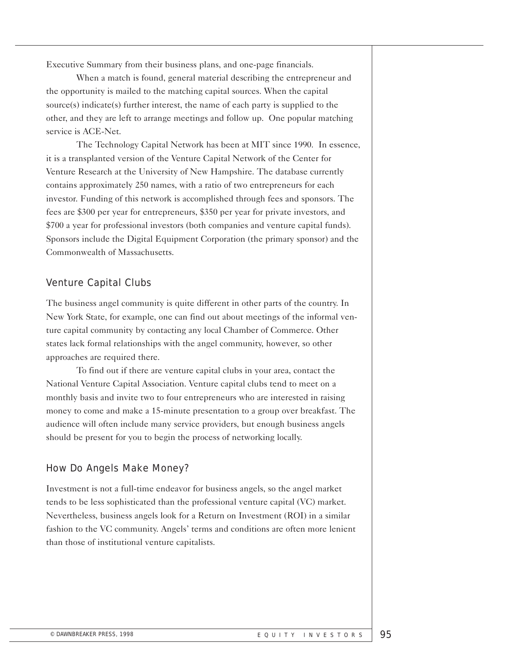Executive Summary from their business plans, and one-page financials.

When a match is found, general material describing the entrepreneur and the opportunity is mailed to the matching capital sources. When the capital source(s) indicate(s) further interest, the name of each party is supplied to the other, and they are left to arrange meetings and follow up. One popular matching service is ACE-Net.

The Technology Capital Network has been at MIT since 1990. In essence, it is a transplanted version of the Venture Capital Network of the Center for Venture Research at the University of New Hampshire. The database currently contains approximately 250 names, with a ratio of two entrepreneurs for each investor. Funding of this network is accomplished through fees and sponsors. The fees are \$300 per year for entrepreneurs, \$350 per year for private investors, and \$700 a year for professional investors (both companies and venture capital funds). Sponsors include the Digital Equipment Corporation (the primary sponsor) and the Commonwealth of Massachusetts.

#### Venture Capital Clubs

The business angel community is quite different in other parts of the country. In New York State, for example, one can find out about meetings of the informal venture capital community by contacting any local Chamber of Commerce. Other states lack formal relationships with the angel community, however, so other approaches are required there.

To find out if there are venture capital clubs in your area, contact the National Venture Capital Association. Venture capital clubs tend to meet on a monthly basis and invite two to four entrepreneurs who are interested in raising money to come and make a 15-minute presentation to a group over breakfast. The audience will often include many service providers, but enough business angels should be present for you to begin the process of networking locally.

#### How Do Angels Make Money?

Investment is not a full-time endeavor for business angels, so the angel market tends to be less sophisticated than the professional venture capital (VC) market. Nevertheless, business angels look for a Return on Investment (ROI) in a similar fashion to the VC community. Angels' terms and conditions are often more lenient than those of institutional venture capitalists.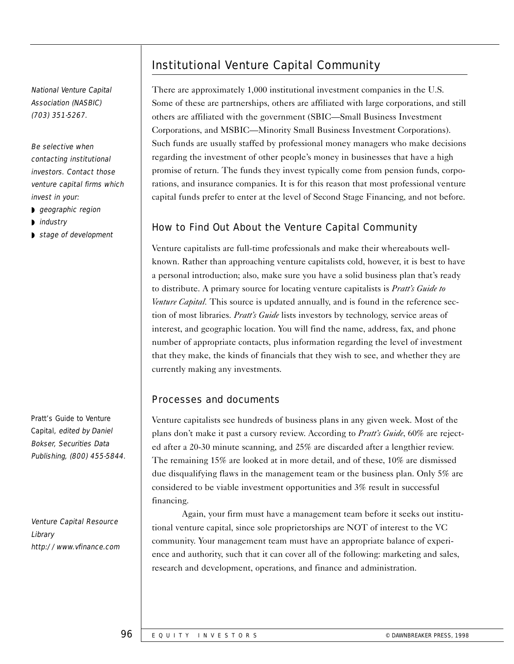### National Venture Capital Association (NASBIC) (703) 351-5267.

Be selective when contacting institutional investors. Contact those venture capital firms which invest in your:

- ◗ geographic region
- ◗ industry
- ◗ stage of development

Pratt's Guide to Venture Capital, edited by Daniel Bokser, Securities Data Publishing, (800) 455-5844.

Venture Capital Resource Library http://www.vfinance.com

# Institutional Venture Capital Community

There are approximately 1,000 institutional investment companies in the U.S. Some of these are partnerships, others are affiliated with large corporations, and still others are affiliated with the government (SBIC—Small Business Investment Corporations, and MSBIC—Minority Small Business Investment Corporations). Such funds are usually staffed by professional money managers who make decisions regarding the investment of other people's money in businesses that have a high promise of return. The funds they invest typically come from pension funds, corporations, and insurance companies. It is for this reason that most professional venture capital funds prefer to enter at the level of Second Stage Financing, and not before.

## How to Find Out About the Venture Capital Community

Venture capitalists are full-time professionals and make their whereabouts wellknown. Rather than approaching venture capitalists cold, however, it is best to have a personal introduction; also, make sure you have a solid business plan that's ready to distribute. A primary source for locating venture capitalists is *Pratt's Guide to Venture Capital.* This source is updated annually, and is found in the reference section of most libraries. *Pratt's Guide* lists investors by technology, service areas of interest, and geographic location. You will find the name, address, fax, and phone number of appropriate contacts, plus information regarding the level of investment that they make, the kinds of financials that they wish to see, and whether they are currently making any investments.

#### Processes and documents

Venture capitalists see hundreds of business plans in any given week. Most of the plans don't make it past a cursory review. According to *Pratt's Guide*, 60% are rejected after a 20-30 minute scanning, and 25% are discarded after a lengthier review. The remaining 15% are looked at in more detail, and of these, 10% are dismissed due disqualifying flaws in the management team or the business plan. Only 5% are considered to be viable investment opportunities and 3% result in successful financing.

Again, your firm must have a management team before it seeks out institutional venture capital, since sole proprietorships are NOT of interest to the VC community. Your management team must have an appropriate balance of experience and authority, such that it can cover all of the following: marketing and sales, research and development, operations, and finance and administration.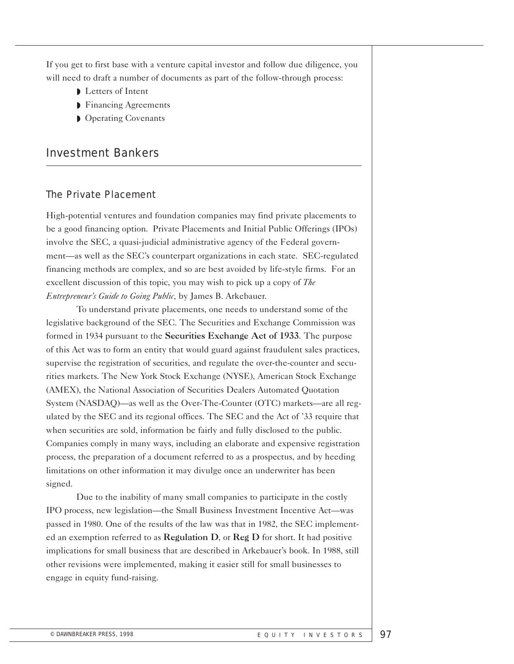If you get to first base with a venture capital investor and follow due diligence, you will need to draft a number of documents as part of the follow-through process:

- ◗ Letters of Intent
- ◗ Financing Agreements
- ◗ Operating Covenants

# Investment Bankers

#### The Private Placement

High-potential ventures and foundation companies may find private placements to be a good financing option. Private Placements and Initial Public Offerings (IPOs) involve the SEC, a quasi-judicial administrative agency of the Federal government—as well as the SEC's counterpart organizations in each state. SEC-regulated financing methods are complex, and so are best avoided by life-style firms. For an excellent discussion of this topic, you may wish to pick up a copy of *The Entrepreneur's Guide to Going Public,* by James B. Arkebauer.

To understand private placements, one needs to understand some of the legislative background of the SEC. The Securities and Exchange Commission was formed in 1934 pursuant to the Securities Exchange Act of 1933. The purpose of this Act was to form an entity that would guard against fraudulent sales practices, supervise the registration of securities, and regulate the over-the-counter and securities markets. The New York Stock Exchange (NYSE), American Stock Exchange (AMEX), the National Association of Securities Dealers Automated Quotation System (NASDAQ)—as well as the Over-The-Counter (OTC) markets—are all regulated by the SEC and its regional offices. The SEC and the Act of '33 require that when securities are sold, information be fairly and fully disclosed to the public. Companies comply in many ways, including an elaborate and expensive registration process, the preparation of a document referred to as a prospectus, and by heeding limitations on other information it may divulge once an underwriter has been signed.

Due to the inability of many small companies to participate in the costly IPO process, new legislation—the Small Business Investment Incentive Act—was passed in 1980. One of the results of the law was that in 1982, the SEC implemented an exemption referred to as **Regulation D**, or **Reg D** for short. It had positive implications for small business that are described in Arkebauer's book. In 1988, still other revisions were implemented, making it easier still for small businesses to engage in equity fund-raising.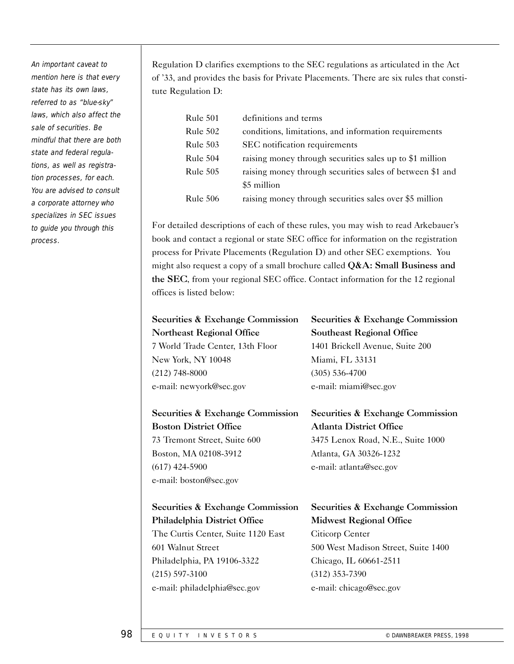An important caveat to mention here is that every state has its own laws, referred to as "blue-sky" laws, which also affect the sale of securities. Be mindful that there are both state and federal regulations, as well as registration processes, for each. You are advised to consult a corporate attorney who specializes in SEC issues to guide you through this process.

Regulation D clarifies exemptions to the SEC regulations as articulated in the Act of '33, and provides the basis for Private Placements. There are six rules that constitute Regulation D:

| Rule 501        | definitions and terms                                     |
|-----------------|-----------------------------------------------------------|
| Rule 502        | conditions, limitations, and information requirements     |
| <b>Rule 503</b> | SEC notification requirements                             |
| Rule 504        | raising money through securities sales up to \$1 million  |
| <b>Rule 505</b> | raising money through securities sales of between \$1 and |
|                 | \$5 million                                               |
| Rule 506        | raising money through securities sales over \$5 million   |

For detailed descriptions of each of these rules, you may wish to read Arkebauer's book and contact a regional or state SEC office for information on the registration process for Private Placements (Regulation D) and other SEC exemptions. You might also request a copy of a small brochure called  $Q&A$ : Small Business and the SEC, from your regional SEC office. Contact information for the 12 regional offices is listed below:

| Securities & Exchange Commission |       |  |
|----------------------------------|-------|--|
| Northeast Regional Office        | $S_0$ |  |
| 7 World Trade Center, 13th Floor | 14    |  |
| New York, NY 10048               | M     |  |
| $(212)$ 748-8000                 | (3    |  |
| e-mail: newyork@sec.gov          | $e-$  |  |

Securities & Exchange Commission Boston District Office

73 Tremont Street, Suite 600 Boston, MA 02108-3912 (617) 424-5900 e-mail: boston@sec.gov

ecurities & Exchange Commission outheast Regional Office 1401 Brickell Avenue, Suite 200 liami, FL 33131 (305) 536-4700 mail: miami@sec.gov

Securities & Exchange Commission Atlanta District Office 3475 Lenox Road, N.E., Suite 1000 Atlanta, GA 30326-1232 e-mail: atlanta@sec.gov

Securities & Exchange Commission Philadelphia District Office The Curtis Center, Suite 1120 East 601 Walnut Street Philadelphia, PA 19106-3322 (215) 597-3100 e-mail: philadelphia@sec.gov

Securities & Exchange Commission Midwest Regional Office Citicorp Center 500 West Madison Street, Suite 1400 Chicago, IL 60661-2511 (312) 353-7390 e-mail: chicago@sec.gov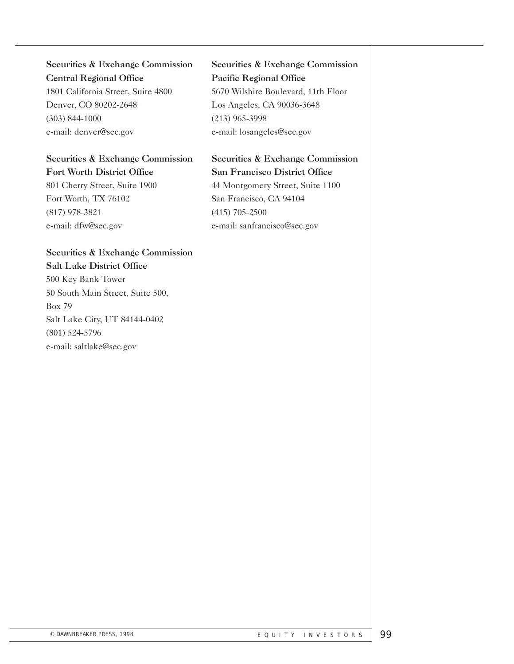Securities & Exchange Commission Central Regional Office 1801 California Street, Suite 4800 Denver, CO 80202-2648 (303) 844-1000 e-mail: denver@sec.gov

# Securities & Exchange Commission Fort Worth District Office

801 Cherry Street, Suite 1900 Fort Worth, TX 76102 (817) 978-3821 e-mail: dfw@sec.gov

# Securities & Exchange Commission Pacific Regional Office 5670 Wilshire Boulevard, 11th Floor Los Angeles, CA 90036-3648 (213) 965-3998 e-mail: losangeles@sec.gov

# Securities & Exchange Commission San Francisco District Office 44 Montgomery Street, Suite 1100 San Francisco, CA 94104 (415) 705-2500 e-mail: sanfrancisco@sec.gov

# Securities & Exchange Commission Salt Lake District Office 500 Key Bank Tower

50 South Main Street, Suite 500, Box 79 Salt Lake City, UT 84144-0402 (801) 524-5796 e-mail: saltlake@sec.gov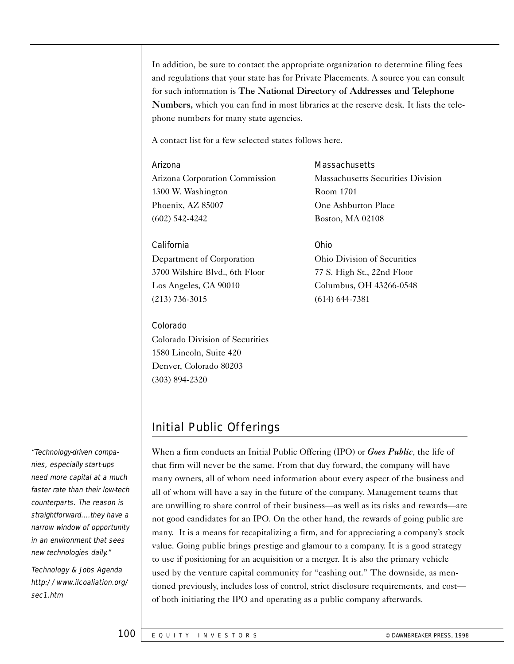In addition, be sure to contact the appropriate organization to determine filing fees and regulations that your state has for Private Placements. A source you can consult for such information is The National Directory of Addresses and Telephone Numbers, which you can find in most libraries at the reserve desk. It lists the telephone numbers for many state agencies.

A contact list for a few selected states follows here.

#### Arizona

Arizona Corporation Commission 1300 W. Washington Phoenix, AZ 85007 (602) 542-4242

#### California

Department of Corporation 3700 Wilshire Blvd., 6th Floor Los Angeles, CA 90010 (213) 736-3015

#### Colorado

Colorado Division of Securities 1580 Lincoln, Suite 420 Denver, Colorado 80203 (303) 894-2320

#### **Massachusetts**

Massachusetts Securities Division Room 1701 One Ashburton Place Boston, MA 02108

#### Ohio

Ohio Division of Securities 77 S. High St., 22nd Floor Columbus, OH 43266-0548 (614) 644-7381

# Initial Public Offerings

When a firm conducts an Initial Public Offering (IPO) or *Goes Public*, the life of that firm will never be the same. From that day forward, the company will have many owners, all of whom need information about every aspect of the business and all of whom will have a say in the future of the company. Management teams that are unwilling to share control of their business—as well as its risks and rewards—are not good candidates for an IPO. On the other hand, the rewards of going public are many. It is a means for recapitalizing a firm, and for appreciating a company's stock value. Going public brings prestige and glamour to a company. It is a good strategy to use if positioning for an acquisition or a merger. It is also the primary vehicle used by the venture capital community for "cashing out." The downside, as mentioned previously, includes loss of control, strict disclosure requirements, and cost of both initiating the IPO and operating as a public company afterwards.

"Technology-driven companies, especially start-ups need more capital at a much faster rate than their low-tech counterparts. The reason is straightforward....they have a narrow window of opportunity in an environment that sees new technologies daily."

Technology & Jobs Agenda http://www.ilcoaliation.org/ sec1.htm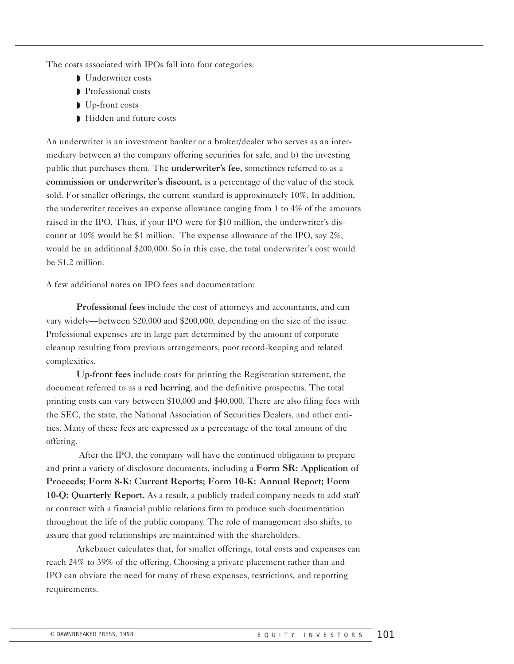The costs associated with IPOs fall into four categories:

- ◗ Underwriter costs
- ◗ Professional costs
- ◗ Up-front costs
- ◗ Hidden and future costs

An underwriter is an investment banker or a broker/dealer who serves as an intermediary between a) the company offering securities for sale, and b) the investing public that purchases them. The underwriter's fee, sometimes referred to as a commission or underwriter's discount, is a percentage of the value of the stock sold. For smaller offerings, the current standard is approximately 10%. In addition, the underwriter receives an expense allowance ranging from 1 to 4% of the amounts raised in the IPO. Thus, if your IPO were for \$10 million, the underwriter's discount at 10% would be \$1 million. The expense allowance of the IPO, say 2%, would be an additional \$200,000. So in this case, the total underwriter's cost would be \$1.2 million.

A few additional notes on IPO fees and documentation:

Professional fees include the cost of attorneys and accountants, and can vary widely—between \$20,000 and \$200,000, depending on the size of the issue. Professional expenses are in large part determined by the amount of corporate cleanup resulting from previous arrangements, poor record-keeping and related complexities.

Up-front fees include costs for printing the Registration statement, the document referred to as a red herring, and the definitive prospectus. The total printing costs can vary between \$10,000 and \$40,000. There are also filing fees with the SEC, the state, the National Association of Securities Dealers, and other entities. Many of these fees are expressed as a percentage of the total amount of the offering.

After the IPO, the company will have the continued obligation to prepare and print a variety of disclosure documents, including a Form SR: Application of Proceeds; Form 8-K: Current Reports; Form 10-K: Annual Report; Form 10-Q: Quarterly Report. As a result, a publicly traded company needs to add staff or contract with a financial public relations firm to produce such documentation throughout the life of the public company. The role of management also shifts, to assure that good relationships are maintained with the shareholders.

Arkebauer calculates that, for smaller offerings, total costs and expenses can reach 24% to 39% of the offering. Choosing a private placement rather than and IPO can obviate the need for many of these expenses, restrictions, and reporting requirements.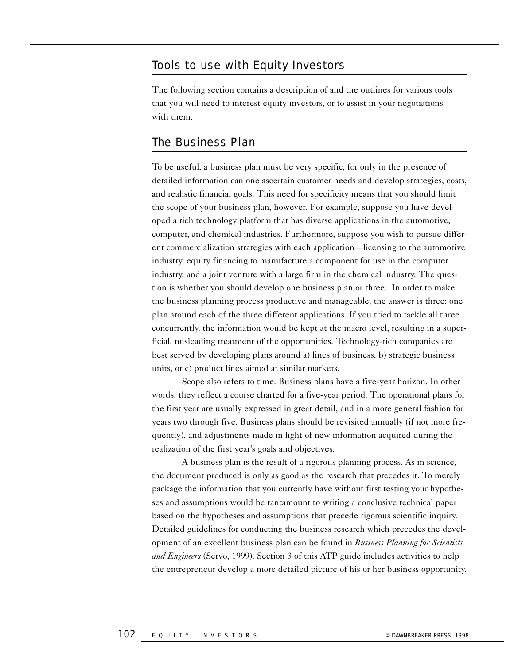# Tools to use with Equity Investors

The following section contains a description of and the outlines for various tools that you will need to interest equity investors, or to assist in your negotiations with them.

# The Business Plan

To be useful, a business plan must be very specific, for only in the presence of detailed information can one ascertain customer needs and develop strategies, costs, and realistic financial goals. This need for specificity means that you should limit the scope of your business plan, however. For example, suppose you have developed a rich technology platform that has diverse applications in the automotive, computer, and chemical industries. Furthermore, suppose you wish to pursue different commercialization strategies with each application—licensing to the automotive industry, equity financing to manufacture a component for use in the computer industry, and a joint venture with a large firm in the chemical industry. The question is whether you should develop one business plan or three. In order to make the business planning process productive and manageable, the answer is three: one plan around each of the three different applications. If you tried to tackle all three concurrently, the information would be kept at the macro level, resulting in a superficial, misleading treatment of the opportunities. Technology-rich companies are best served by developing plans around a) lines of business, b) strategic business units, or c) product lines aimed at similar markets.

Scope also refers to time. Business plans have a five-year horizon. In other words, they reflect a course charted for a five-year period. The operational plans for the first year are usually expressed in great detail, and in a more general fashion for years two through five. Business plans should be revisited annually (if not more frequently), and adjustments made in light of new information acquired during the realization of the first year's goals and objectives.

A business plan is the result of a rigorous planning process. As in science, the document produced is only as good as the research that precedes it. To merely package the information that you currently have without first testing your hypotheses and assumptions would be tantamount to writing a conclusive technical paper based on the hypotheses and assumptions that precede rigorous scientific inquiry. Detailed guidelines for conducting the business research which precedes the development of an excellent business plan can be found in *Business Planning for Scientists and Engineers* (Servo, 1999). Section 3 of this ATP guide includes activities to help the entrepreneur develop a more detailed picture of his or her business opportunity.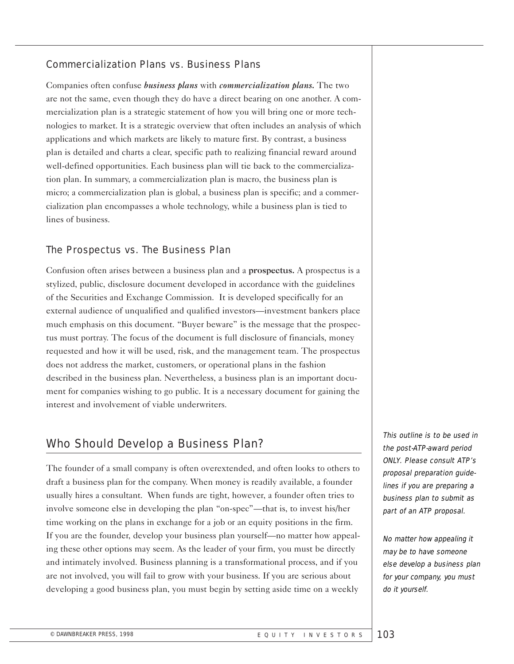#### Commercialization Plans vs. Business Plans

Companies often confuse *business plans* with *commercialization plans.* The two are not the same, even though they do have a direct bearing on one another. A commercialization plan is a strategic statement of how you will bring one or more technologies to market. It is a strategic overview that often includes an analysis of which applications and which markets are likely to mature first. By contrast, a business plan is detailed and charts a clear, specific path to realizing financial reward around well-defined opportunities. Each business plan will tie back to the commercialization plan. In summary, a commercialization plan is macro, the business plan is micro; a commercialization plan is global, a business plan is specific; and a commercialization plan encompasses a whole technology, while a business plan is tied to lines of business.

#### The Prospectus vs. The Business Plan

Confusion often arises between a business plan and a prospectus. A prospectus is a stylized, public, disclosure document developed in accordance with the guidelines of the Securities and Exchange Commission. It is developed specifically for an external audience of unqualified and qualified investors—investment bankers place much emphasis on this document. "Buyer beware" is the message that the prospectus must portray. The focus of the document is full disclosure of financials, money requested and how it will be used, risk, and the management team. The prospectus does not address the market, customers, or operational plans in the fashion described in the business plan. Nevertheless, a business plan is an important document for companies wishing to go public. It is a necessary document for gaining the interest and involvement of viable underwriters.

# Who Should Develop a Business Plan?

The founder of a small company is often overextended, and often looks to others to draft a business plan for the company. When money is readily available, a founder usually hires a consultant. When funds are tight, however, a founder often tries to involve someone else in developing the plan "on-spec"—that is, to invest his/her time working on the plans in exchange for a job or an equity positions in the firm. If you are the founder, develop your business plan yourself—no matter how appealing these other options may seem. As the leader of your firm, you must be directly and intimately involved. Business planning is a transformational process, and if you are not involved, you will fail to grow with your business. If you are serious about developing a good business plan, you must begin by setting aside time on a weekly

This outline is to be used in the post-ATP-award period ONLY. Please consult ATP's proposal preparation guidelines if you are preparing a business plan to submit as part of an ATP proposal.

No matter how appealing it may be to have someone else develop a business plan for your company, you must do it yourself.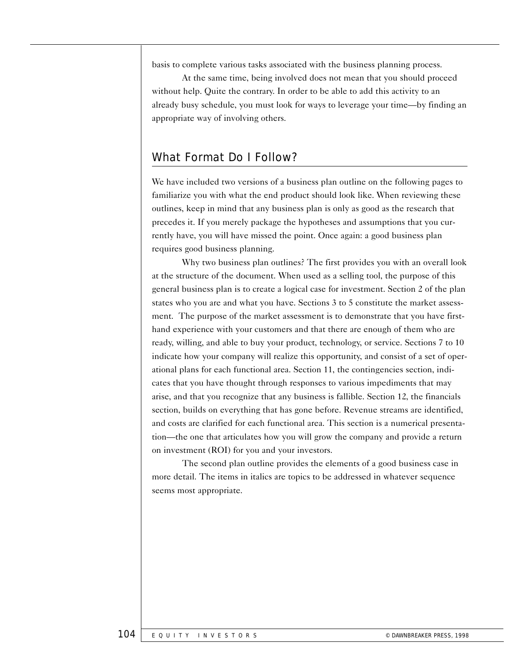basis to complete various tasks associated with the business planning process.

At the same time, being involved does not mean that you should proceed without help. Quite the contrary. In order to be able to add this activity to an already busy schedule, you must look for ways to leverage your time—by finding an appropriate way of involving others.

## What Format Do I Follow?

We have included two versions of a business plan outline on the following pages to familiarize you with what the end product should look like. When reviewing these outlines, keep in mind that any business plan is only as good as the research that precedes it. If you merely package the hypotheses and assumptions that you currently have, you will have missed the point. Once again: a good business plan requires good business planning.

Why two business plan outlines? The first provides you with an overall look at the structure of the document. When used as a selling tool, the purpose of this general business plan is to create a logical case for investment. Section 2 of the plan states who you are and what you have. Sections 3 to 5 constitute the market assessment. The purpose of the market assessment is to demonstrate that you have firsthand experience with your customers and that there are enough of them who are ready, willing, and able to buy your product, technology, or service. Sections 7 to 10 indicate how your company will realize this opportunity, and consist of a set of operational plans for each functional area. Section 11, the contingencies section, indicates that you have thought through responses to various impediments that may arise, and that you recognize that any business is fallible. Section 12, the financials section, builds on everything that has gone before. Revenue streams are identified, and costs are clarified for each functional area. This section is a numerical presentation—the one that articulates how you will grow the company and provide a return on investment (ROI) for you and your investors.

The second plan outline provides the elements of a good business case in more detail. The items in italics are topics to be addressed in whatever sequence seems most appropriate.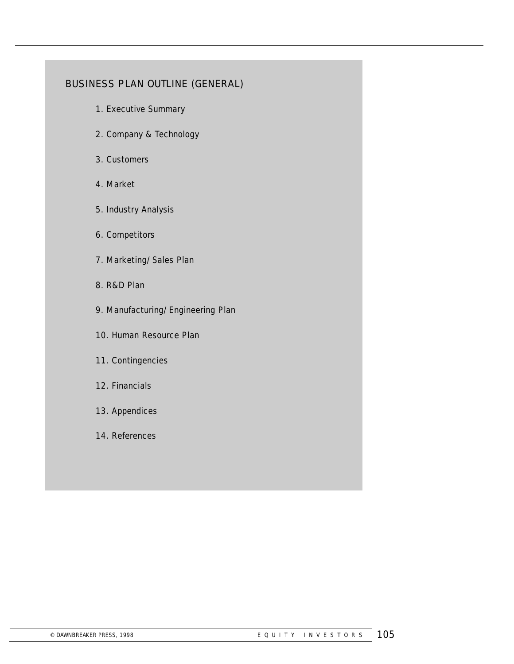## BUSINESS PLAN OUTLINE (GENERAL)

- 1. Executive Summary
- 2. Company & Technology
- 3. Customers
- 4. Market
- 5. Industry Analysis
- 6. Competitors
- 7. Marketing/Sales Plan
- 8. R&D Plan
- 9. Manufacturing/Engineering Plan
- 10. Human Resource Plan
- 11. Contingencies
- 12. Financials
- 13. Appendices
- 14. References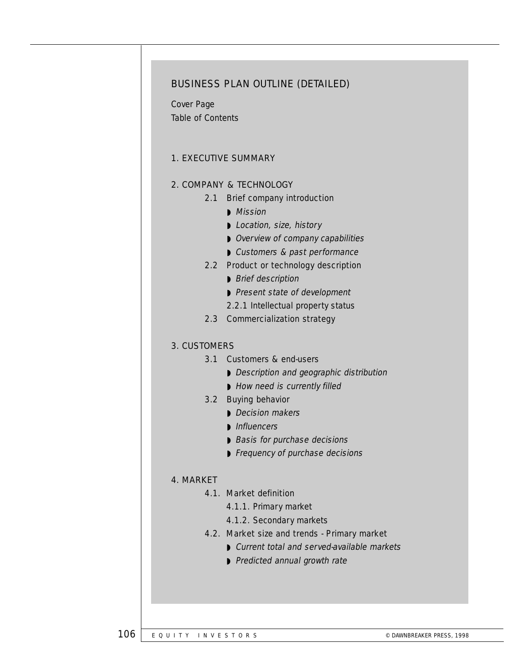#### BUSINESS PLAN OUTLINE (DETAILED)

Cover Page Table of Contents

#### 1. EXECUTIVE SUMMARY

#### 2. COMPANY & TECHNOLOGY

- 2.1 Brief company introduction
	- ◗ Mission
	- ◗ Location, size, history
	- ◗ Overview of company capabilities
	- ◗ Customers & past performance

#### 2.2 Product or technology description

- ◗ Brief description
- ◗ Present state of development
- 2.2.1 Intellectual property status
- 2.3 Commercialization strategy

#### 3. CUSTOMERS

#### 3.1 Customers & end-users

- ◗ Description and geographic distribution
- How need is currently filled

#### 3.2 Buying behavior

- Decision makers
- ◗ Influencers
- Basis for purchase decisions
- ◗ Frequency of purchase decisions

#### 4. MARKET

#### 4.1. Market definition

- 4.1.1. Primary market
- 4.1.2. Secondary markets
- 4.2. Market size and trends Primary market
	- Current total and served-available markets
	- Predicted annual growth rate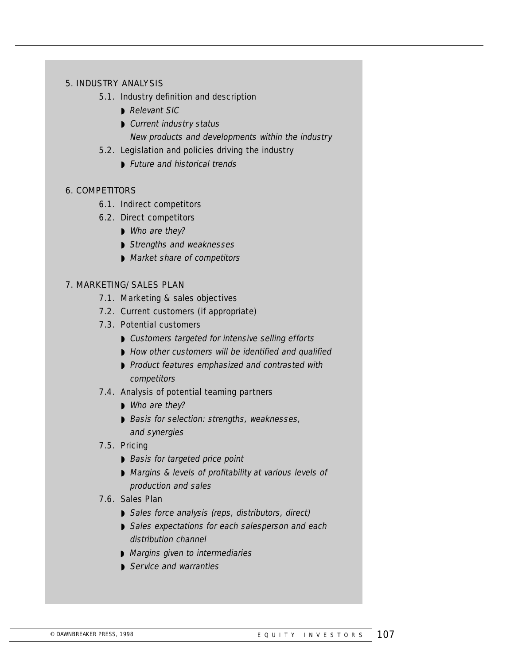#### 5. INDUSTRY ANALYSIS

#### 5.1. Industry definition and description

- Relevant SIC
- ◗ Current industry status New products and developments within the industry

#### 5.2. Legislation and policies driving the industry

◗ Future and historical trends

#### 6. COMPETITORS

- 6.1. Indirect competitors
- 6.2. Direct competitors
	- Who are they?
	- ◗ Strengths and weaknesses
	- Market share of competitors

#### 7. MARKETING/SALES PLAN

- 7.1. Marketing & sales objectives
- 7.2. Current customers (if appropriate)
- 7.3. Potential customers
	- Customers targeted for intensive selling efforts
	- How other customers will be identified and qualified
	- ◗ Product features emphasized and contrasted with competitors

#### 7.4. Analysis of potential teaming partners

- Who are they?
- ◗ Basis for selection: strengths, weaknesses, and synergies

#### 7.5. Pricing

- Basis for targeted price point
- Margins & levels of profitability at various levels of production and sales

#### 7.6. Sales Plan

- ◗ Sales force analysis (reps, distributors, direct)
- ◗ Sales expectations for each salesperson and each distribution channel
- Margins given to intermediaries
- Service and warranties

© DAWNBREAKER PRESS, 1998  $\blacksquare$  EQUITY INVESTORS  $\blacksquare$  107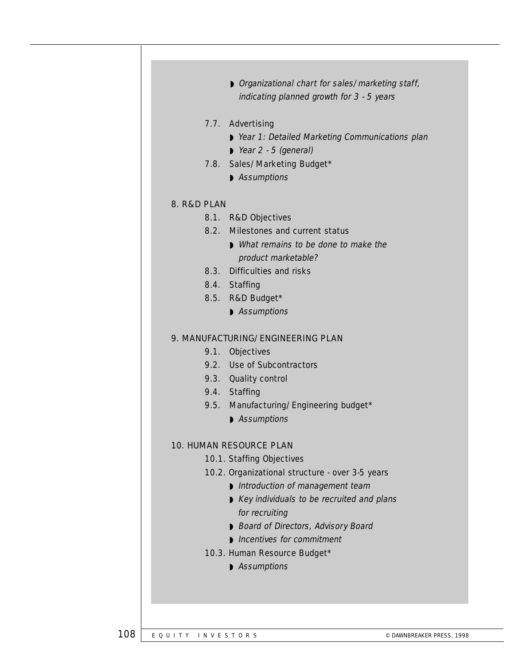|             | Organizational chart for sales/marketing staff,  |
|-------------|--------------------------------------------------|
|             | indicating planned growth for 3 - 5 years        |
|             |                                                  |
|             | 7.7. Advertising                                 |
|             | ▶ Year 1: Detailed Marketing Communications plan |
|             | $\triangleright$ Year 2 - 5 (general)            |
|             | 7.8. Sales/Marketing Budget*                     |
|             | Assumptions                                      |
|             |                                                  |
| 8. R&D PLAN |                                                  |
|             | 8.1. R&D Objectives                              |
|             | 8.2. Milestones and current status               |
|             | • What remains to be done to make the            |
|             | product marketable?                              |
|             | 8.3. Difficulties and risks                      |
|             | 8.4. Staffing                                    |
|             |                                                  |
|             | 8.5. R&D Budget*                                 |
|             | Assumptions                                      |
|             | 9. MANUFACTURING/ENGINEERING PLAN                |
|             |                                                  |
|             | 9.1. Objectives<br>9.2. Use of Subcontractors    |
|             |                                                  |
|             | 9.3. Quality control                             |
|             | 9.4. Staffing                                    |
|             | 9.5. Manufacturing/Engineering budget*           |
|             | Assumptions                                      |
|             | <b>10. HUMAN RESOURCE PLAN</b>                   |
|             | 10.1. Staffing Objectives                        |
|             |                                                  |
|             | 10.2. Organizational structure - over 3-5 years  |
|             | Introduction of management team                  |
|             | Key individuals to be recruited and plans        |
|             | for recruiting                                   |
|             | Board of Directors, Advisory Board               |
|             | Incentives for commitment                        |
|             | 10.3. Human Resource Budget*                     |
|             | Assumptions                                      |
|             |                                                  |
|             |                                                  |
|             |                                                  |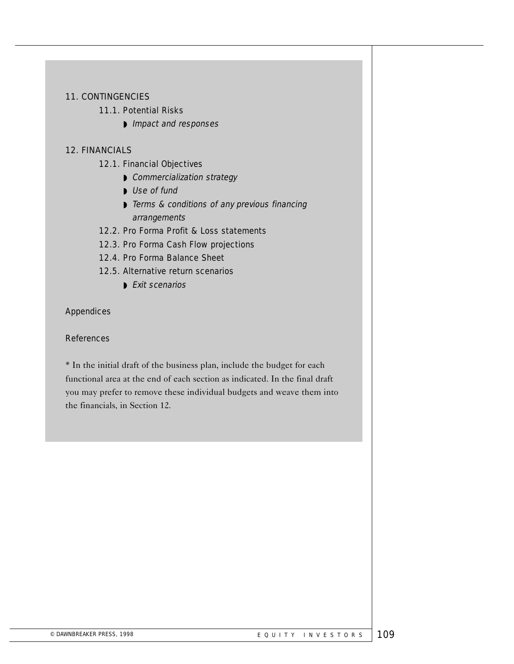#### 11. CONTINGENCIES

#### 11.1. Potential Risks

◗ Impact and responses

#### 12. FINANCIALS

- 12.1. Financial Objectives
	- Commercialization strategy
	- Use of fund
	- ◗ Terms & conditions of any previous financing arrangements
- 12.2. Pro Forma Profit & Loss statements
- 12.3. Pro Forma Cash Flow projections
- 12.4. Pro Forma Balance Sheet

#### 12.5. Alternative return scenarios

◗ Exit scenarios

#### Appendices

#### **References**

\* In the initial draft of the business plan, include the budget for each functional area at the end of each section as indicated. In the final draft you may prefer to remove these individual budgets and weave them into the financials, in Section 12.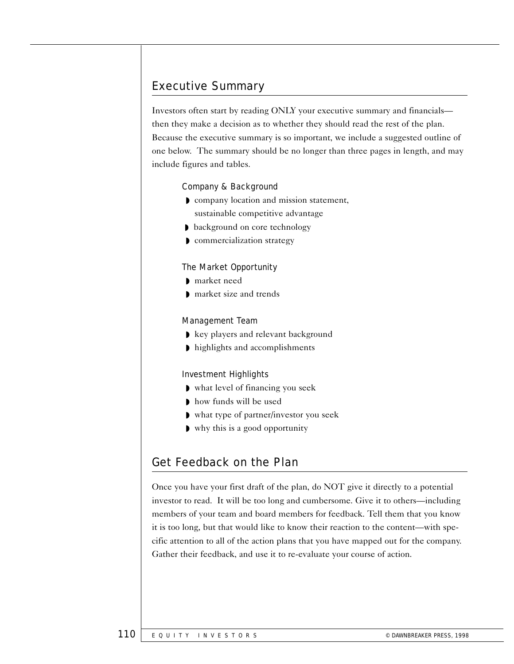# Executive Summary

Investors often start by reading ONLY your executive summary and financials then they make a decision as to whether they should read the rest of the plan. Because the executive summary is so important, we include a suggested outline of one below. The summary should be no longer than three pages in length, and may include figures and tables.

#### Company & Background

- ◗ company location and mission statement, sustainable competitive advantage
- background on core technology
- ◗ commercialization strategy

#### The Market Opportunity

- ◗ market need
- ◗ market size and trends

#### Management Team

- ◗ key players and relevant background
- ◗ highlights and accomplishments

#### Investment Highlights

- ◗ what level of financing you seek
- ◗ how funds will be used
- ◗ what type of partner/investor you seek
- ◗ why this is a good opportunity

# Get Feedback on the Plan

Once you have your first draft of the plan, do NOT give it directly to a potential investor to read. It will be too long and cumbersome. Give it to others—including members of your team and board members for feedback. Tell them that you know it is too long, but that would like to know their reaction to the content—with specific attention to all of the action plans that you have mapped out for the company. Gather their feedback, and use it to re-evaluate your course of action.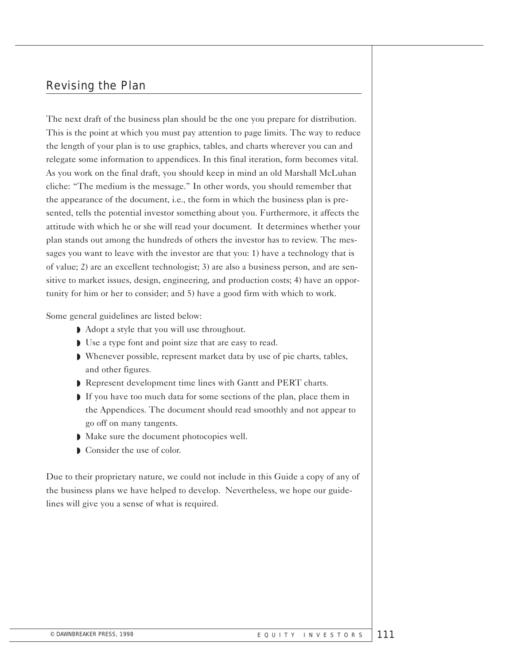# Revising the Plan

The next draft of the business plan should be the one you prepare for distribution. This is the point at which you must pay attention to page limits. The way to reduce the length of your plan is to use graphics, tables, and charts wherever you can and relegate some information to appendices. In this final iteration, form becomes vital. As you work on the final draft, you should keep in mind an old Marshall McLuhan cliche: "The medium is the message." In other words, you should remember that the appearance of the document, i.e., the form in which the business plan is presented, tells the potential investor something about you. Furthermore, it affects the attitude with which he or she will read your document. It determines whether your plan stands out among the hundreds of others the investor has to review. The messages you want to leave with the investor are that you: 1) have a technology that is of value; 2) are an excellent technologist; 3) are also a business person, and are sensitive to market issues, design, engineering, and production costs; 4) have an opportunity for him or her to consider; and 5) have a good firm with which to work.

Some general guidelines are listed below:

- ◗ Adopt a style that you will use throughout.
- ◗ Use a type font and point size that are easy to read.
- ◗ Whenever possible, represent market data by use of pie charts, tables, and other figures.
- ◗ Represent development time lines with Gantt and PERT charts.
- ◗ If you have too much data for some sections of the plan, place them in the Appendices. The document should read smoothly and not appear to go off on many tangents.
- ◗ Make sure the document photocopies well.
- **D** Consider the use of color.

Due to their proprietary nature, we could not include in this Guide a copy of any of the business plans we have helped to develop. Nevertheless, we hope our guidelines will give you a sense of what is required.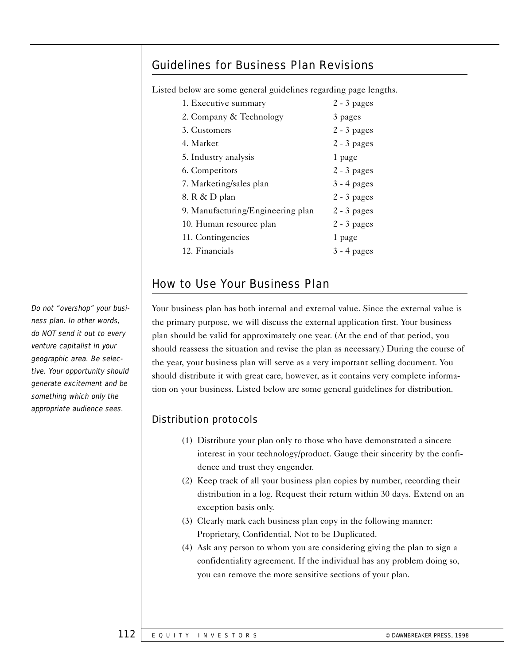# Guidelines for Business Plan Revisions

Listed below are some general guidelines regarding page lengths.

| 1. Executive summary              | $2 - 3$ pages |
|-----------------------------------|---------------|
| 2. Company & Technology           | 3 pages       |
| 3. Customers                      | $2 - 3$ pages |
| 4. Market                         | $2 - 3$ pages |
| 5. Industry analysis              | 1 page        |
| 6. Competitors                    | $2 - 3$ pages |
| 7. Marketing/sales plan           | $3 - 4$ pages |
| 8. R & D plan                     | $2 - 3$ pages |
| 9. Manufacturing/Engineering plan | $2 - 3$ pages |
| 10. Human resource plan           | $2 - 3$ pages |
| 11. Contingencies                 | 1 page        |
| 12. Financials                    | $3 - 4$ pages |

# How to Use Your Business Plan

Your business plan has both internal and external value. Since the external value is the primary purpose, we will discuss the external application first. Your business plan should be valid for approximately one year. (At the end of that period, you should reassess the situation and revise the plan as necessary.) During the course of the year, your business plan will serve as a very important selling document. You should distribute it with great care, however, as it contains very complete information on your business. Listed below are some general guidelines for distribution.

#### Distribution protocols

- (1) Distribute your plan only to those who have demonstrated a sincere interest in your technology/product. Gauge their sincerity by the confidence and trust they engender.
- (2) Keep track of all your business plan copies by number, recording their distribution in a log. Request their return within 30 days. Extend on an exception basis only.
- (3) Clearly mark each business plan copy in the following manner: Proprietary, Confidential, Not to be Duplicated.
- (4) Ask any person to whom you are considering giving the plan to sign a confidentiality agreement. If the individual has any problem doing so, you can remove the more sensitive sections of your plan.

Do not "overshop" your business plan. In other words, do NOT send it out to every venture capitalist in your geographic area. Be selective. Your opportunity should generate excitement and be something which only the appropriate audience sees.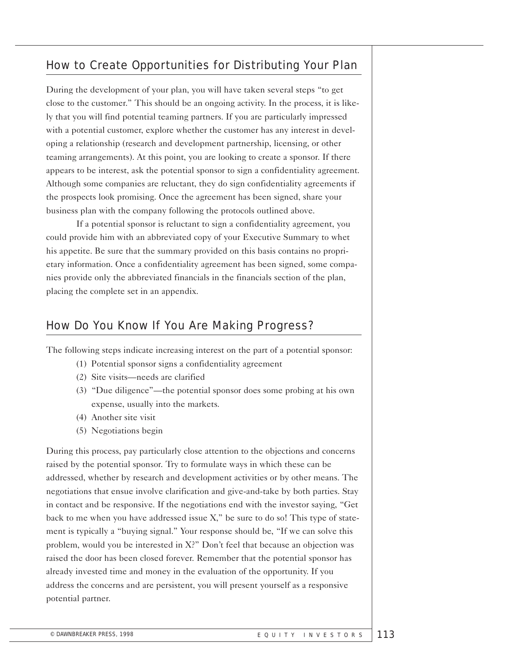# How to Create Opportunities for Distributing Your Plan

During the development of your plan, you will have taken several steps "to get close to the customer." This should be an ongoing activity. In the process, it is likely that you will find potential teaming partners. If you are particularly impressed with a potential customer, explore whether the customer has any interest in developing a relationship (research and development partnership, licensing, or other teaming arrangements). At this point, you are looking to create a sponsor. If there appears to be interest, ask the potential sponsor to sign a confidentiality agreement. Although some companies are reluctant, they do sign confidentiality agreements if the prospects look promising. Once the agreement has been signed, share your business plan with the company following the protocols outlined above.

If a potential sponsor is reluctant to sign a confidentiality agreement, you could provide him with an abbreviated copy of your Executive Summary to whet his appetite. Be sure that the summary provided on this basis contains no proprietary information. Once a confidentiality agreement has been signed, some companies provide only the abbreviated financials in the financials section of the plan, placing the complete set in an appendix.

# How Do You Know If You Are Making Progress?

The following steps indicate increasing interest on the part of a potential sponsor:

- (1) Potential sponsor signs a confidentiality agreement
- (2) Site visits—needs are clarified
- (3) "Due diligence"—the potential sponsor does some probing at his own expense, usually into the markets.
- (4) Another site visit
- (5) Negotiations begin

During this process, pay particularly close attention to the objections and concerns raised by the potential sponsor. Try to formulate ways in which these can be addressed, whether by research and development activities or by other means. The negotiations that ensue involve clarification and give-and-take by both parties. Stay in contact and be responsive. If the negotiations end with the investor saying, "Get back to me when you have addressed issue X," be sure to do so! This type of statement is typically a "buying signal." Your response should be, "If we can solve this problem, would you be interested in X?" Don't feel that because an objection was raised the door has been closed forever. Remember that the potential sponsor has already invested time and money in the evaluation of the opportunity. If you address the concerns and are persistent, you will present yourself as a responsive potential partner.